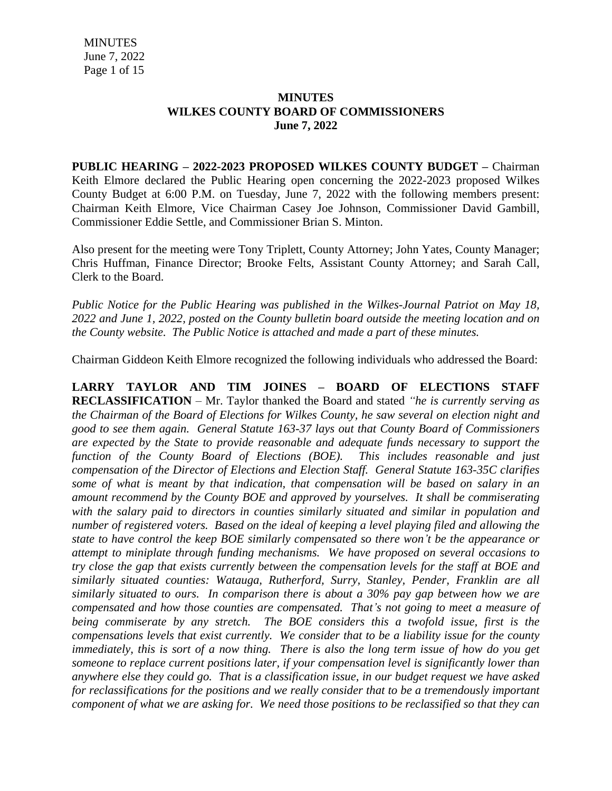## **MINUTES WILKES COUNTY BOARD OF COMMISSIONERS June 7, 2022**

**PUBLIC HEARING – 2022-2023 PROPOSED WILKES COUNTY BUDGET –** Chairman Keith Elmore declared the Public Hearing open concerning the 2022-2023 proposed Wilkes County Budget at 6:00 P.M. on Tuesday, June 7, 2022 with the following members present: Chairman Keith Elmore, Vice Chairman Casey Joe Johnson, Commissioner David Gambill, Commissioner Eddie Settle, and Commissioner Brian S. Minton.

Also present for the meeting were Tony Triplett, County Attorney; John Yates, County Manager; Chris Huffman, Finance Director; Brooke Felts, Assistant County Attorney; and Sarah Call, Clerk to the Board.

*Public Notice for the Public Hearing was published in the Wilkes-Journal Patriot on May 18, 2022 and June 1, 2022, posted on the County bulletin board outside the meeting location and on the County website. The Public Notice is attached and made a part of these minutes.*

Chairman Giddeon Keith Elmore recognized the following individuals who addressed the Board:

**LARRY TAYLOR AND TIM JOINES – BOARD OF ELECTIONS STAFF RECLASSIFICATION** – Mr. Taylor thanked the Board and stated *"he is currently serving as the Chairman of the Board of Elections for Wilkes County, he saw several on election night and good to see them again. General Statute 163-37 lays out that County Board of Commissioners are expected by the State to provide reasonable and adequate funds necessary to support the function of the County Board of Elections (BOE). This includes reasonable and just compensation of the Director of Elections and Election Staff. General Statute 163-35C clarifies some of what is meant by that indication, that compensation will be based on salary in an amount recommend by the County BOE and approved by yourselves. It shall be commiserating with the salary paid to directors in counties similarly situated and similar in population and number of registered voters. Based on the ideal of keeping a level playing filed and allowing the state to have control the keep BOE similarly compensated so there won't be the appearance or attempt to miniplate through funding mechanisms. We have proposed on several occasions to try close the gap that exists currently between the compensation levels for the staff at BOE and similarly situated counties: Watauga, Rutherford, Surry, Stanley, Pender, Franklin are all similarly situated to ours. In comparison there is about a 30% pay gap between how we are compensated and how those counties are compensated. That's not going to meet a measure of being commiserate by any stretch. The BOE considers this a twofold issue, first is the compensations levels that exist currently. We consider that to be a liability issue for the county* immediately, this is sort of a now thing. There is also the long term issue of how do you get *someone to replace current positions later, if your compensation level is significantly lower than anywhere else they could go. That is a classification issue, in our budget request we have asked for reclassifications for the positions and we really consider that to be a tremendously important component of what we are asking for. We need those positions to be reclassified so that they can*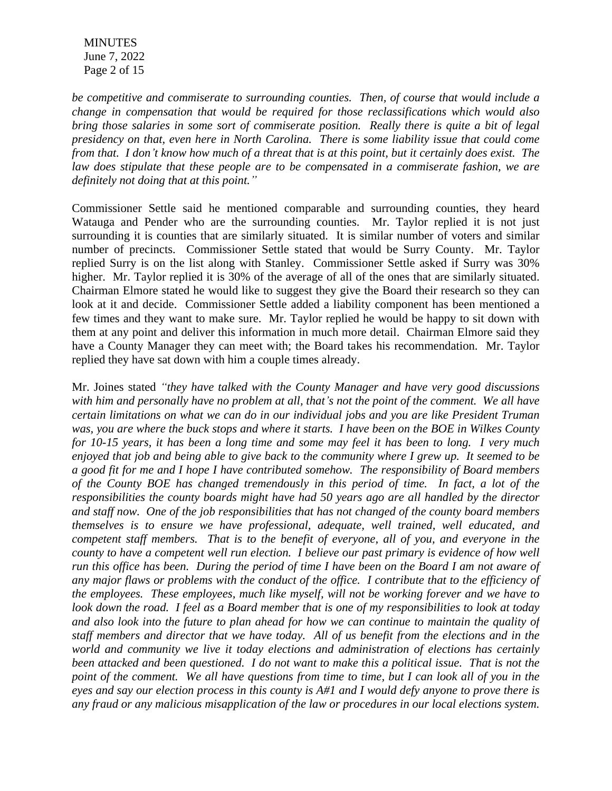**MINUTES**  June 7, 2022 Page 2 of 15

*be competitive and commiserate to surrounding counties. Then, of course that would include a change in compensation that would be required for those reclassifications which would also bring those salaries in some sort of commiserate position. Really there is quite a bit of legal presidency on that, even here in North Carolina. There is some liability issue that could come* from that. I don't know how much of a threat that is at this point, but it certainly does exist. The *law does stipulate that these people are to be compensated in a commiserate fashion, we are definitely not doing that at this point."*

Commissioner Settle said he mentioned comparable and surrounding counties, they heard Watauga and Pender who are the surrounding counties. Mr. Taylor replied it is not just surrounding it is counties that are similarly situated. It is similar number of voters and similar number of precincts. Commissioner Settle stated that would be Surry County. Mr. Taylor replied Surry is on the list along with Stanley. Commissioner Settle asked if Surry was 30% higher. Mr. Taylor replied it is 30% of the average of all of the ones that are similarly situated. Chairman Elmore stated he would like to suggest they give the Board their research so they can look at it and decide. Commissioner Settle added a liability component has been mentioned a few times and they want to make sure. Mr. Taylor replied he would be happy to sit down with them at any point and deliver this information in much more detail. Chairman Elmore said they have a County Manager they can meet with; the Board takes his recommendation. Mr. Taylor replied they have sat down with him a couple times already.

Mr. Joines stated *"they have talked with the County Manager and have very good discussions* with him and personally have no problem at all, that's not the point of the comment. We all have *certain limitations on what we can do in our individual jobs and you are like President Truman* was, you are where the buck stops and where it starts. I have been on the BOE in Wilkes County for 10-15 years, it has been a long time and some may feel it has been to long. I very much enjoyed that job and being able to give back to the community where I grew up. It seemed to be *a good fit for me and I hope I have contributed somehow. The responsibility of Board members of the County BOE has changed tremendously in this period of time. In fact, a lot of the responsibilities the county boards might have had 50 years ago are all handled by the director and staff now. One of the job responsibilities that has not changed of the county board members themselves is to ensure we have professional, adequate, well trained, well educated, and competent staff members. That is to the benefit of everyone, all of you, and everyone in the county to have a competent well run election. I believe our past primary is evidence of how well* run this office has been. During the period of time I have been on the Board I am not aware of *any major flaws or problems with the conduct of the office. I contribute that to the efficiency of the employees. These employees, much like myself, will not be working forever and we have to* look down the road. I feel as a Board member that is one of my responsibilities to look at today and also look into the future to plan ahead for how we can continue to maintain the quality of *staff members and director that we have today. All of us benefit from the elections and in the world and community we live it today elections and administration of elections has certainly* been attacked and been questioned. I do not want to make this a political issue. That is not the point of the comment. We all have questions from time to time, but I can look all of you in the eyes and say our election process in this county is  $A#1$  and I would defy anyone to prove there is *any fraud or any malicious misapplication of the law or procedures in our local elections system.*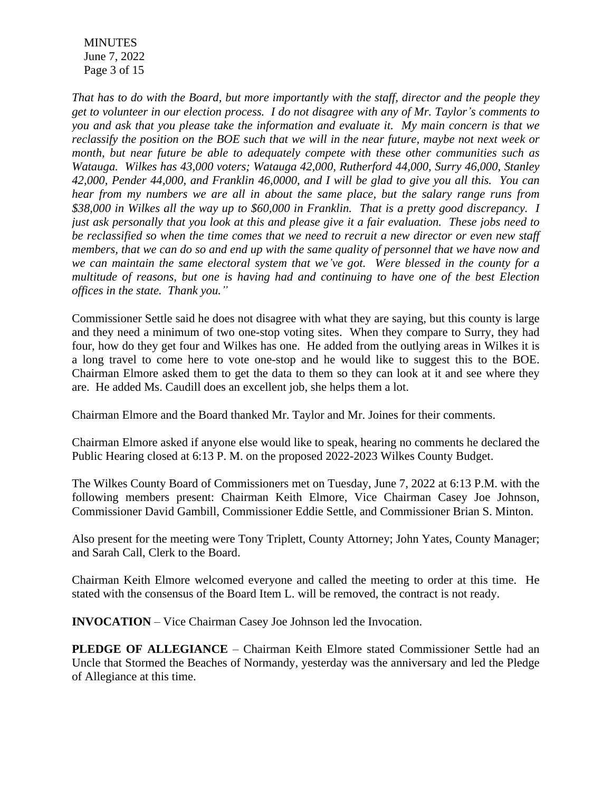MINUTES June 7, 2022 Page 3 of 15

*That has to do with the Board, but more importantly with the staff, director and the people they* get to volunteer in our election process. I do not disagree with any of Mr. Taylor's comments to *you and ask that you please take the information and evaluate it. My main concern is that we* reclassify the position on the BOE such that we will in the near future, maybe not next week or *month, but near future be able to adequately compete with these other communities such as Watauga. Wilkes has 43,000 voters; Watauga 42,000, Rutherford 44,000, Surry 46,000, Stanley 42,000, Pender 44,000, and Franklin 46,0000, and I will be glad to give you all this. You can hear from my numbers we are all in about the same place, but the salary range runs from \$38,000 in Wilkes all the way up to \$60,000 in Franklin. That is a pretty good discrepancy. I* just ask personally that you look at this and please give it a fair evaluation. These jobs need to be reclassified so when the time comes that we need to recruit a new director or even new staff members, that we can do so and end up with the same quality of personnel that we have now and *we can maintain the same electoral system that we've got. Were blessed in the county for a multitude of reasons, but one is having had and continuing to have one of the best Election offices in the state. Thank you."*

Commissioner Settle said he does not disagree with what they are saying, but this county is large and they need a minimum of two one-stop voting sites. When they compare to Surry, they had four, how do they get four and Wilkes has one. He added from the outlying areas in Wilkes it is a long travel to come here to vote one-stop and he would like to suggest this to the BOE. Chairman Elmore asked them to get the data to them so they can look at it and see where they are. He added Ms. Caudill does an excellent job, she helps them a lot.

Chairman Elmore and the Board thanked Mr. Taylor and Mr. Joines for their comments.

Chairman Elmore asked if anyone else would like to speak, hearing no comments he declared the Public Hearing closed at 6:13 P. M. on the proposed 2022-2023 Wilkes County Budget.

The Wilkes County Board of Commissioners met on Tuesday, June 7, 2022 at 6:13 P.M. with the following members present: Chairman Keith Elmore, Vice Chairman Casey Joe Johnson, Commissioner David Gambill, Commissioner Eddie Settle, and Commissioner Brian S. Minton.

Also present for the meeting were Tony Triplett, County Attorney; John Yates, County Manager; and Sarah Call, Clerk to the Board.

Chairman Keith Elmore welcomed everyone and called the meeting to order at this time. He stated with the consensus of the Board Item L. will be removed, the contract is not ready.

**INVOCATION** – Vice Chairman Casey Joe Johnson led the Invocation.

**PLEDGE OF ALLEGIANCE** – Chairman Keith Elmore stated Commissioner Settle had an Uncle that Stormed the Beaches of Normandy, yesterday was the anniversary and led the Pledge of Allegiance at this time.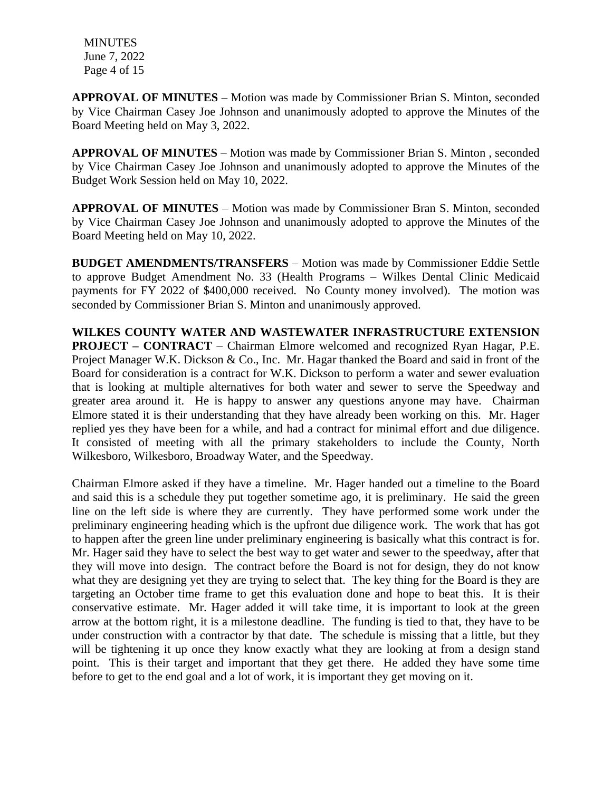MINUTES June 7, 2022 Page 4 of 15

**APPROVAL OF MINUTES** – Motion was made by Commissioner Brian S. Minton, seconded by Vice Chairman Casey Joe Johnson and unanimously adopted to approve the Minutes of the Board Meeting held on May 3, 2022.

**APPROVAL OF MINUTES** – Motion was made by Commissioner Brian S. Minton , seconded by Vice Chairman Casey Joe Johnson and unanimously adopted to approve the Minutes of the Budget Work Session held on May 10, 2022.

**APPROVAL OF MINUTES** – Motion was made by Commissioner Bran S. Minton, seconded by Vice Chairman Casey Joe Johnson and unanimously adopted to approve the Minutes of the Board Meeting held on May 10, 2022.

**BUDGET AMENDMENTS/TRANSFERS** – Motion was made by Commissioner Eddie Settle to approve Budget Amendment No. 33 (Health Programs – Wilkes Dental Clinic Medicaid payments for FY 2022 of \$400,000 received. No County money involved). The motion was seconded by Commissioner Brian S. Minton and unanimously approved.

**WILKES COUNTY WATER AND WASTEWATER INFRASTRUCTURE EXTENSION PROJECT – CONTRACT** – Chairman Elmore welcomed and recognized Ryan Hagar, P.E. Project Manager W.K. Dickson & Co., Inc. Mr. Hagar thanked the Board and said in front of the Board for consideration is a contract for W.K. Dickson to perform a water and sewer evaluation that is looking at multiple alternatives for both water and sewer to serve the Speedway and greater area around it. He is happy to answer any questions anyone may have. Chairman Elmore stated it is their understanding that they have already been working on this. Mr. Hager replied yes they have been for a while, and had a contract for minimal effort and due diligence. It consisted of meeting with all the primary stakeholders to include the County, North Wilkesboro, Wilkesboro, Broadway Water, and the Speedway.

Chairman Elmore asked if they have a timeline. Mr. Hager handed out a timeline to the Board and said this is a schedule they put together sometime ago, it is preliminary. He said the green line on the left side is where they are currently. They have performed some work under the preliminary engineering heading which is the upfront due diligence work. The work that has got to happen after the green line under preliminary engineering is basically what this contract is for. Mr. Hager said they have to select the best way to get water and sewer to the speedway, after that they will move into design. The contract before the Board is not for design, they do not know what they are designing yet they are trying to select that. The key thing for the Board is they are targeting an October time frame to get this evaluation done and hope to beat this. It is their conservative estimate. Mr. Hager added it will take time, it is important to look at the green arrow at the bottom right, it is a milestone deadline. The funding is tied to that, they have to be under construction with a contractor by that date. The schedule is missing that a little, but they will be tightening it up once they know exactly what they are looking at from a design stand point. This is their target and important that they get there. He added they have some time before to get to the end goal and a lot of work, it is important they get moving on it.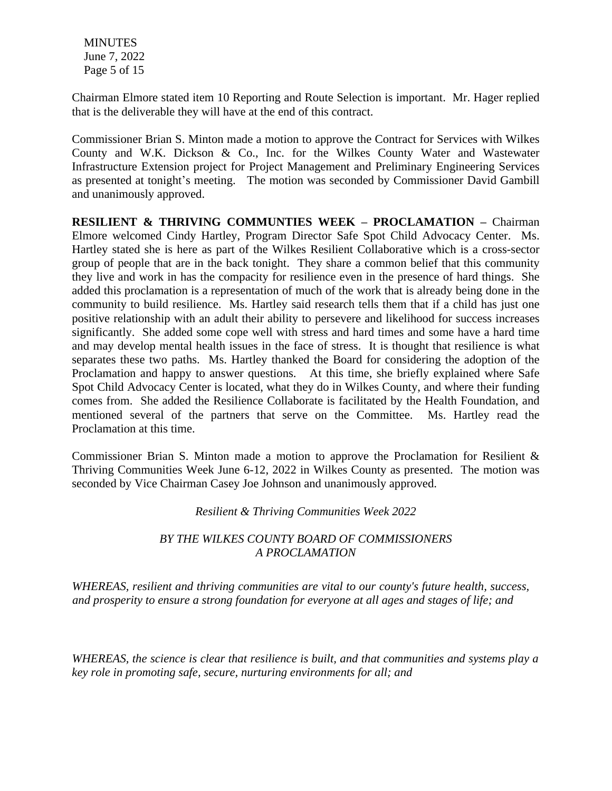**MINUTES**  June 7, 2022 Page 5 of 15

Chairman Elmore stated item 10 Reporting and Route Selection is important. Mr. Hager replied that is the deliverable they will have at the end of this contract.

Commissioner Brian S. Minton made a motion to approve the Contract for Services with Wilkes County and W.K. Dickson & Co., Inc. for the Wilkes County Water and Wastewater Infrastructure Extension project for Project Management and Preliminary Engineering Services as presented at tonight's meeting. The motion was seconded by Commissioner David Gambill and unanimously approved.

**RESILIENT & THRIVING COMMUNTIES WEEK – PROCLAMATION –** Chairman Elmore welcomed Cindy Hartley, Program Director Safe Spot Child Advocacy Center. Ms. Hartley stated she is here as part of the Wilkes Resilient Collaborative which is a cross-sector group of people that are in the back tonight. They share a common belief that this community they live and work in has the compacity for resilience even in the presence of hard things. She added this proclamation is a representation of much of the work that is already being done in the community to build resilience. Ms. Hartley said research tells them that if a child has just one positive relationship with an adult their ability to persevere and likelihood for success increases significantly. She added some cope well with stress and hard times and some have a hard time and may develop mental health issues in the face of stress. It is thought that resilience is what separates these two paths. Ms. Hartley thanked the Board for considering the adoption of the Proclamation and happy to answer questions. At this time, she briefly explained where Safe Spot Child Advocacy Center is located, what they do in Wilkes County, and where their funding comes from. She added the Resilience Collaborate is facilitated by the Health Foundation, and mentioned several of the partners that serve on the Committee. Ms. Hartley read the Proclamation at this time.

Commissioner Brian S. Minton made a motion to approve the Proclamation for Resilient & Thriving Communities Week June 6-12, 2022 in Wilkes County as presented. The motion was seconded by Vice Chairman Casey Joe Johnson and unanimously approved.

#### *Resilient & Thriving Communities Week 2022*

## *BY THE WILKES COUNTY BOARD OF COMMISSIONERS A PROCLAMATION*

*WHEREAS, resilient and thriving communities are vital to our county's future health, success, and prosperity to ensure a strong foundation for everyone at all ages and stages of life; and* 

*WHEREAS, the science is clear that resilience is built, and that communities and systems play a key role in promoting safe, secure, nurturing environments for all; and*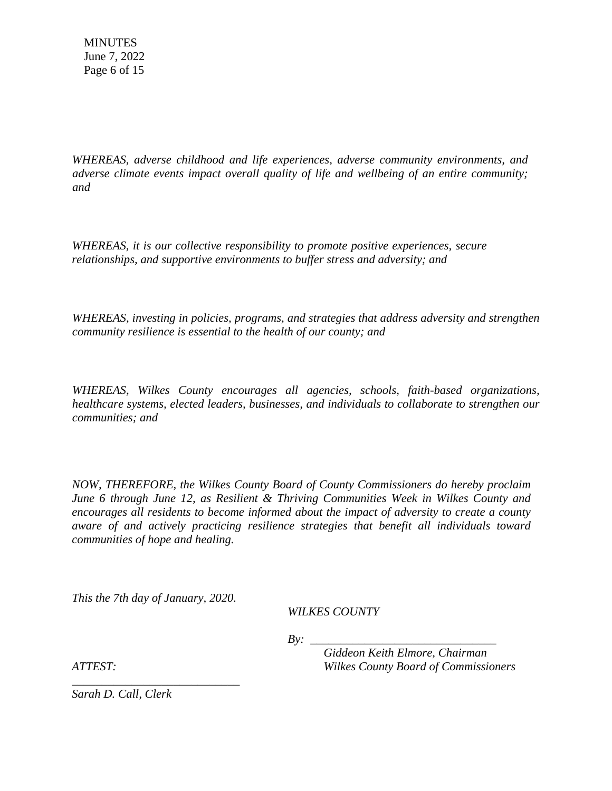*WHEREAS, adverse childhood and life experiences, adverse community environments, and adverse climate events impact overall quality of life and wellbeing of an entire community; and* 

*WHEREAS, it is our collective responsibility to promote positive experiences, secure relationships, and supportive environments to buffer stress and adversity; and* 

*WHEREAS, investing in policies, programs, and strategies that address adversity and strengthen community resilience is essential to the health of our county; and*

*WHEREAS, Wilkes County encourages all agencies, schools, faith-based organizations, healthcare systems, elected leaders, businesses, and individuals to collaborate to strengthen our communities; and* 

*NOW, THEREFORE, the Wilkes County Board of County Commissioners do hereby proclaim June 6 through June 12, as Resilient & Thriving Communities Week in Wilkes County and encourages all residents to become informed about the impact of adversity to create a county aware of and actively practicing resilience strategies that benefit all individuals toward communities of hope and healing.*

*This the 7th day of January, 2020.*

*\_\_\_\_\_\_\_\_\_\_\_\_\_\_\_\_\_\_\_\_\_\_\_\_\_\_\_\_*

*WILKES COUNTY*

 $Bv:$ 

*Giddeon Keith Elmore, Chairman ATTEST: Wilkes County Board of Commissioners*

*Sarah D. Call, Clerk*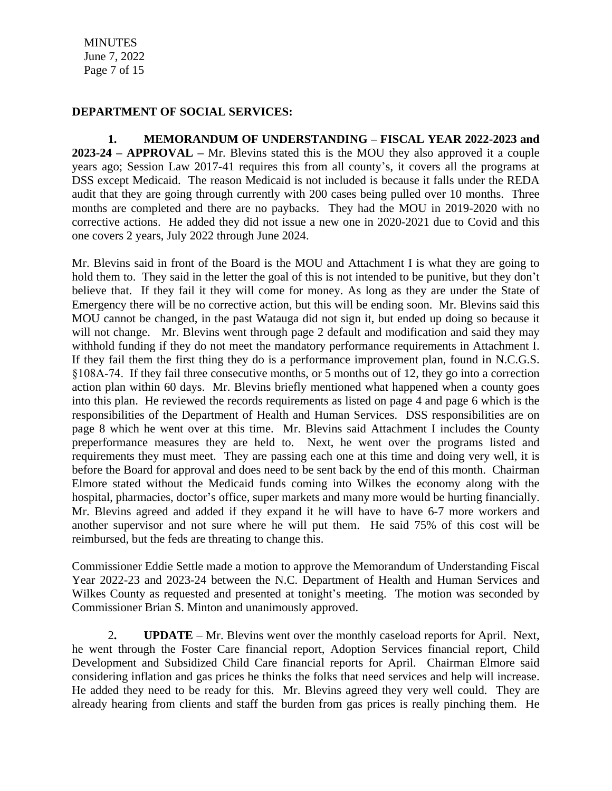MINUTES June 7, 2022 Page 7 of 15

#### **DEPARTMENT OF SOCIAL SERVICES:**

**1. MEMORANDUM OF UNDERSTANDING – FISCAL YEAR 2022-2023 and 2023-24 – APPROVAL –** Mr. Blevins stated this is the MOU they also approved it a couple years ago; Session Law 2017-41 requires this from all county's, it covers all the programs at DSS except Medicaid. The reason Medicaid is not included is because it falls under the REDA audit that they are going through currently with 200 cases being pulled over 10 months. Three months are completed and there are no paybacks. They had the MOU in 2019-2020 with no corrective actions. He added they did not issue a new one in 2020-2021 due to Covid and this one covers 2 years, July 2022 through June 2024.

Mr. Blevins said in front of the Board is the MOU and Attachment I is what they are going to hold them to. They said in the letter the goal of this is not intended to be punitive, but they don't believe that. If they fail it they will come for money. As long as they are under the State of Emergency there will be no corrective action, but this will be ending soon. Mr. Blevins said this MOU cannot be changed, in the past Watauga did not sign it, but ended up doing so because it will not change. Mr. Blevins went through page 2 default and modification and said they may withhold funding if they do not meet the mandatory performance requirements in Attachment I. If they fail them the first thing they do is a performance improvement plan, found in N.C.G.S. §108A-74. If they fail three consecutive months, or 5 months out of 12, they go into a correction action plan within 60 days. Mr. Blevins briefly mentioned what happened when a county goes into this plan. He reviewed the records requirements as listed on page 4 and page 6 which is the responsibilities of the Department of Health and Human Services. DSS responsibilities are on page 8 which he went over at this time. Mr. Blevins said Attachment I includes the County preperformance measures they are held to. Next, he went over the programs listed and requirements they must meet. They are passing each one at this time and doing very well, it is before the Board for approval and does need to be sent back by the end of this month. Chairman Elmore stated without the Medicaid funds coming into Wilkes the economy along with the hospital, pharmacies, doctor's office, super markets and many more would be hurting financially. Mr. Blevins agreed and added if they expand it he will have to have 6-7 more workers and another supervisor and not sure where he will put them. He said 75% of this cost will be reimbursed, but the feds are threating to change this.

Commissioner Eddie Settle made a motion to approve the Memorandum of Understanding Fiscal Year 2022-23 and 2023-24 between the N.C. Department of Health and Human Services and Wilkes County as requested and presented at tonight's meeting. The motion was seconded by Commissioner Brian S. Minton and unanimously approved.

2**. UPDATE** – Mr. Blevins went over the monthly caseload reports for April. Next, he went through the Foster Care financial report, Adoption Services financial report, Child Development and Subsidized Child Care financial reports for April. Chairman Elmore said considering inflation and gas prices he thinks the folks that need services and help will increase. He added they need to be ready for this. Mr. Blevins agreed they very well could. They are already hearing from clients and staff the burden from gas prices is really pinching them. He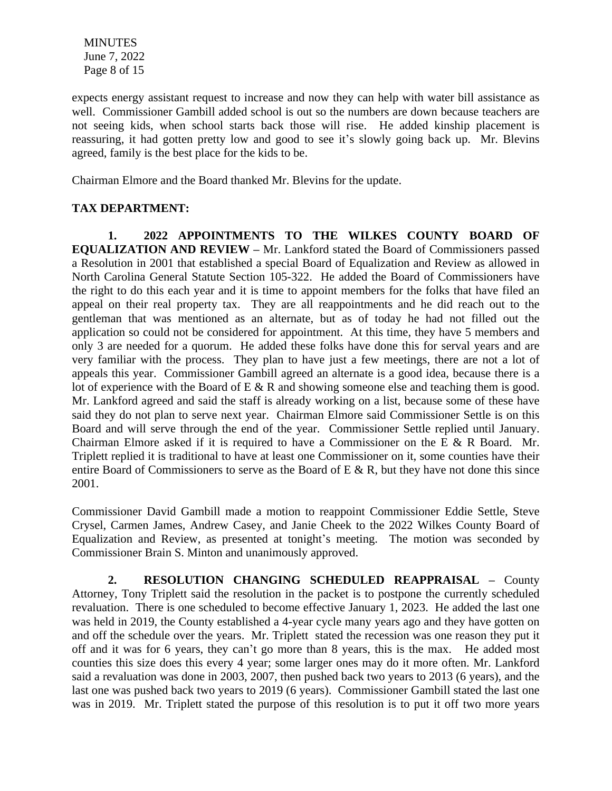MINUTES June 7, 2022 Page 8 of 15

expects energy assistant request to increase and now they can help with water bill assistance as well. Commissioner Gambill added school is out so the numbers are down because teachers are not seeing kids, when school starts back those will rise. He added kinship placement is reassuring, it had gotten pretty low and good to see it's slowly going back up. Mr. Blevins agreed, family is the best place for the kids to be.

Chairman Elmore and the Board thanked Mr. Blevins for the update.

# **TAX DEPARTMENT:**

**1. 2022 APPOINTMENTS TO THE WILKES COUNTY BOARD OF EQUALIZATION AND REVIEW –** Mr. Lankford stated the Board of Commissioners passed a Resolution in 2001 that established a special Board of Equalization and Review as allowed in North Carolina General Statute Section 105-322. He added the Board of Commissioners have the right to do this each year and it is time to appoint members for the folks that have filed an appeal on their real property tax. They are all reappointments and he did reach out to the gentleman that was mentioned as an alternate, but as of today he had not filled out the application so could not be considered for appointment. At this time, they have 5 members and only 3 are needed for a quorum. He added these folks have done this for serval years and are very familiar with the process. They plan to have just a few meetings, there are not a lot of appeals this year. Commissioner Gambill agreed an alternate is a good idea, because there is a lot of experience with the Board of E & R and showing someone else and teaching them is good. Mr. Lankford agreed and said the staff is already working on a list, because some of these have said they do not plan to serve next year. Chairman Elmore said Commissioner Settle is on this Board and will serve through the end of the year. Commissioner Settle replied until January. Chairman Elmore asked if it is required to have a Commissioner on the E & R Board. Mr. Triplett replied it is traditional to have at least one Commissioner on it, some counties have their entire Board of Commissioners to serve as the Board of E  $\&$  R, but they have not done this since 2001.

Commissioner David Gambill made a motion to reappoint Commissioner Eddie Settle, Steve Crysel, Carmen James, Andrew Casey, and Janie Cheek to the 2022 Wilkes County Board of Equalization and Review, as presented at tonight's meeting. The motion was seconded by Commissioner Brain S. Minton and unanimously approved.

**2. RESOLUTION CHANGING SCHEDULED REAPPRAISAL –** County Attorney, Tony Triplett said the resolution in the packet is to postpone the currently scheduled revaluation. There is one scheduled to become effective January 1, 2023. He added the last one was held in 2019, the County established a 4-year cycle many years ago and they have gotten on and off the schedule over the years. Mr. Triplett stated the recession was one reason they put it off and it was for 6 years, they can't go more than 8 years, this is the max. He added most counties this size does this every 4 year; some larger ones may do it more often. Mr. Lankford said a revaluation was done in 2003, 2007, then pushed back two years to 2013 (6 years), and the last one was pushed back two years to 2019 (6 years). Commissioner Gambill stated the last one was in 2019. Mr. Triplett stated the purpose of this resolution is to put it off two more years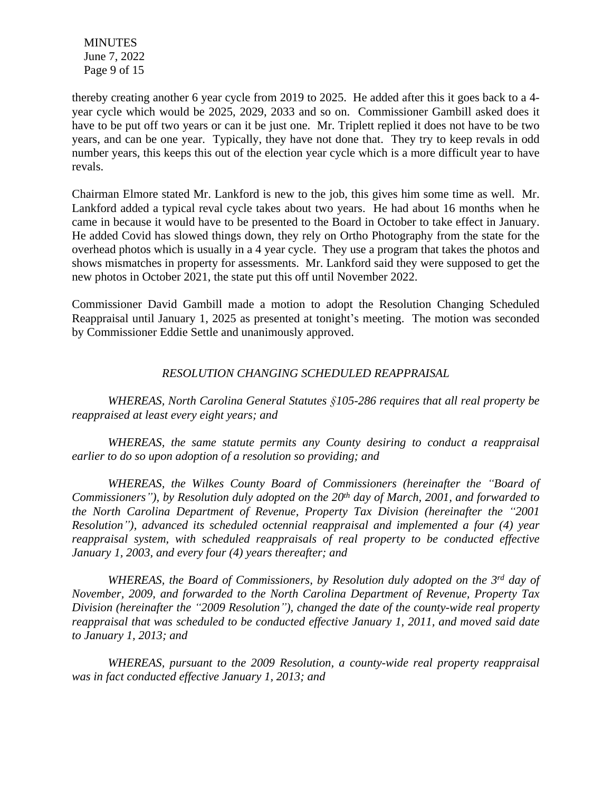MINUTES June 7, 2022 Page 9 of 15

thereby creating another 6 year cycle from 2019 to 2025. He added after this it goes back to a 4 year cycle which would be 2025, 2029, 2033 and so on. Commissioner Gambill asked does it have to be put off two years or can it be just one. Mr. Triplett replied it does not have to be two years, and can be one year. Typically, they have not done that. They try to keep revals in odd number years, this keeps this out of the election year cycle which is a more difficult year to have revals.

Chairman Elmore stated Mr. Lankford is new to the job, this gives him some time as well. Mr. Lankford added a typical reval cycle takes about two years. He had about 16 months when he came in because it would have to be presented to the Board in October to take effect in January. He added Covid has slowed things down, they rely on Ortho Photography from the state for the overhead photos which is usually in a 4 year cycle. They use a program that takes the photos and shows mismatches in property for assessments. Mr. Lankford said they were supposed to get the new photos in October 2021, the state put this off until November 2022.

Commissioner David Gambill made a motion to adopt the Resolution Changing Scheduled Reappraisal until January 1, 2025 as presented at tonight's meeting. The motion was seconded by Commissioner Eddie Settle and unanimously approved.

## *RESOLUTION CHANGING SCHEDULED REAPPRAISAL*

*WHEREAS, North Carolina General Statutes §105-286 requires that all real property be reappraised at least every eight years; and*

*WHEREAS, the same statute permits any County desiring to conduct a reappraisal earlier to do so upon adoption of a resolution so providing; and*

*WHEREAS, the Wilkes County Board of Commissioners (hereinafter the "Board of Commissioners"), by Resolution duly adopted on the 20th day of March, 2001, and forwarded to the North Carolina Department of Revenue, Property Tax Division (hereinafter the "2001 Resolution"), advanced its scheduled octennial reappraisal and implemented a four (4) year reappraisal system, with scheduled reappraisals of real property to be conducted effective January 1, 2003, and every four (4) years thereafter; and*

*WHEREAS, the Board of Commissioners, by Resolution duly adopted on the 3 rd day of November, 2009, and forwarded to the North Carolina Department of Revenue, Property Tax Division (hereinafter the "2009 Resolution"), changed the date of the county-wide real property reappraisal that was scheduled to be conducted effective January 1, 2011, and moved said date to January 1, 2013; and*

*WHEREAS, pursuant to the 2009 Resolution, a county-wide real property reappraisal was in fact conducted effective January 1, 2013; and*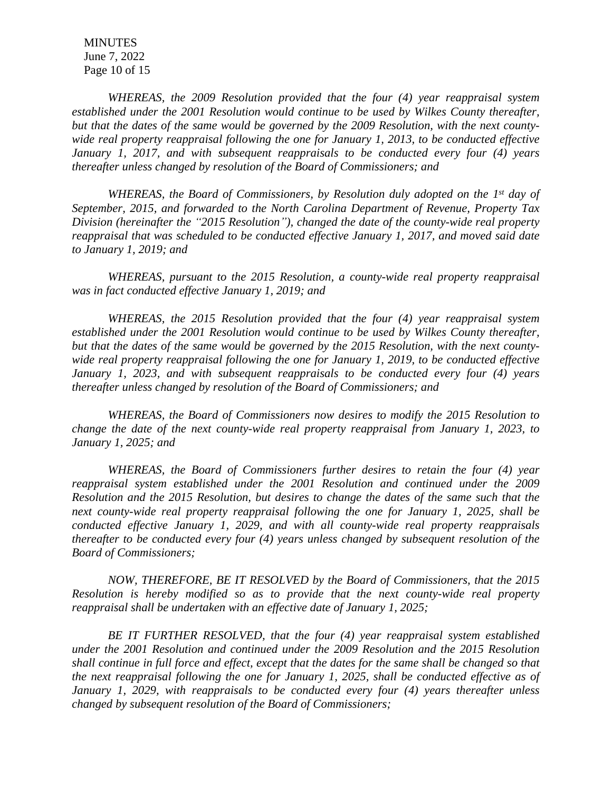MINUTES June 7, 2022 Page 10 of 15

*WHEREAS, the 2009 Resolution provided that the four (4) year reappraisal system established under the 2001 Resolution would continue to be used by Wilkes County thereafter, but that the dates of the same would be governed by the 2009 Resolution, with the next countywide real property reappraisal following the one for January 1, 2013, to be conducted effective January 1, 2017, and with subsequent reappraisals to be conducted every four (4) years thereafter unless changed by resolution of the Board of Commissioners; and* 

*WHEREAS, the Board of Commissioners, by Resolution duly adopted on the 1 st day of September, 2015, and forwarded to the North Carolina Department of Revenue, Property Tax Division (hereinafter the "2015 Resolution"), changed the date of the county-wide real property reappraisal that was scheduled to be conducted effective January 1, 2017, and moved said date to January 1, 2019; and*

*WHEREAS, pursuant to the 2015 Resolution, a county-wide real property reappraisal was in fact conducted effective January 1, 2019; and*

*WHEREAS, the 2015 Resolution provided that the four (4) year reappraisal system established under the 2001 Resolution would continue to be used by Wilkes County thereafter, but that the dates of the same would be governed by the 2015 Resolution, with the next countywide real property reappraisal following the one for January 1, 2019, to be conducted effective January 1, 2023, and with subsequent reappraisals to be conducted every four (4) years thereafter unless changed by resolution of the Board of Commissioners; and* 

*WHEREAS, the Board of Commissioners now desires to modify the 2015 Resolution to change the date of the next county-wide real property reappraisal from January 1, 2023, to January 1, 2025; and*

*WHEREAS, the Board of Commissioners further desires to retain the four (4) year reappraisal system established under the 2001 Resolution and continued under the 2009 Resolution and the 2015 Resolution, but desires to change the dates of the same such that the next county-wide real property reappraisal following the one for January 1, 2025, shall be conducted effective January 1, 2029, and with all county-wide real property reappraisals thereafter to be conducted every four (4) years unless changed by subsequent resolution of the Board of Commissioners;* 

*NOW, THEREFORE, BE IT RESOLVED by the Board of Commissioners, that the 2015 Resolution is hereby modified so as to provide that the next county-wide real property reappraisal shall be undertaken with an effective date of January 1, 2025;*

*BE IT FURTHER RESOLVED, that the four (4) year reappraisal system established under the 2001 Resolution and continued under the 2009 Resolution and the 2015 Resolution* shall continue in full force and effect, except that the dates for the same shall be changed so that *the next reappraisal following the one for January 1, 2025, shall be conducted effective as of January 1, 2029, with reappraisals to be conducted every four (4) years thereafter unless changed by subsequent resolution of the Board of Commissioners;*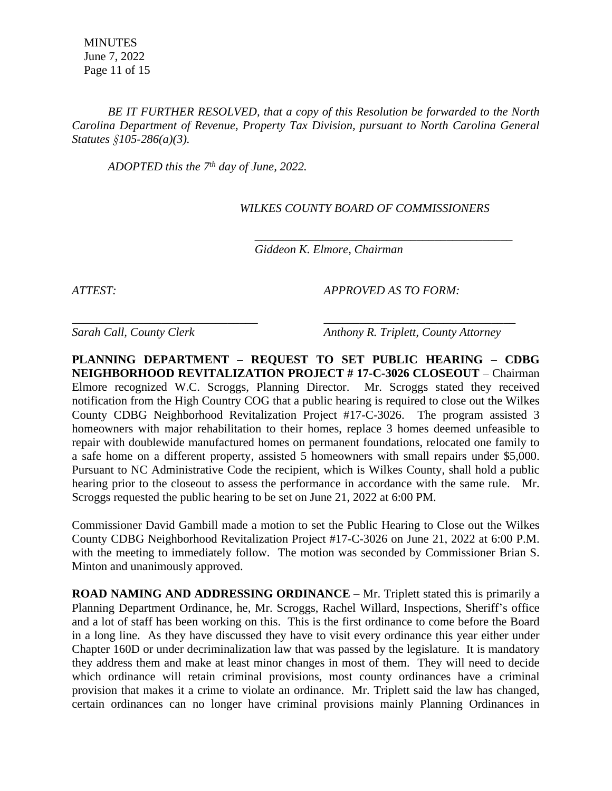MINUTES June 7, 2022 Page 11 of 15

*BE IT FURTHER RESOLVED, that a copy of this Resolution be forwarded to the North Carolina Department of Revenue, Property Tax Division, pursuant to North Carolina General Statutes §105-286(a)(3).*

*ADOPTED this the 7th day of June, 2022.*

 *WILKES COUNTY BOARD OF COMMISSIONERS*

 *Giddeon K. Elmore, Chairman*

*ATTEST: APPROVED AS TO FORM:*

 *\_\_\_\_\_\_\_\_\_\_\_\_\_\_\_\_\_\_\_\_\_\_\_\_\_\_\_\_\_\_\_\_\_\_\_\_\_\_\_\_\_\_\_*

*Sarah Call, County Clerk Anthony R. Triplett, County Attorney*

**PLANNING DEPARTMENT – REQUEST TO SET PUBLIC HEARING – CDBG NEIGHBORHOOD REVITALIZATION PROJECT # 17-C-3026 CLOSEOUT** – Chairman Elmore recognized W.C. Scroggs, Planning Director. Mr. Scroggs stated they received notification from the High Country COG that a public hearing is required to close out the Wilkes County CDBG Neighborhood Revitalization Project #17-C-3026. The program assisted 3 homeowners with major rehabilitation to their homes, replace 3 homes deemed unfeasible to repair with doublewide manufactured homes on permanent foundations, relocated one family to a safe home on a different property, assisted 5 homeowners with small repairs under \$5,000. Pursuant to NC Administrative Code the recipient, which is Wilkes County, shall hold a public hearing prior to the closeout to assess the performance in accordance with the same rule. Mr. Scroggs requested the public hearing to be set on June 21, 2022 at 6:00 PM.

*\_\_\_\_\_\_\_\_\_\_\_\_\_\_\_\_\_\_\_\_\_\_\_\_\_\_\_\_\_\_\_ \_\_\_\_\_\_\_\_\_\_\_\_\_\_\_\_\_\_\_\_\_\_\_\_\_\_\_\_\_\_\_\_*

Commissioner David Gambill made a motion to set the Public Hearing to Close out the Wilkes County CDBG Neighborhood Revitalization Project #17-C-3026 on June 21, 2022 at 6:00 P.M. with the meeting to immediately follow. The motion was seconded by Commissioner Brian S. Minton and unanimously approved.

**ROAD NAMING AND ADDRESSING ORDINANCE** – Mr. Triplett stated this is primarily a Planning Department Ordinance, he, Mr. Scroggs, Rachel Willard, Inspections, Sheriff's office and a lot of staff has been working on this. This is the first ordinance to come before the Board in a long line. As they have discussed they have to visit every ordinance this year either under Chapter 160D or under decriminalization law that was passed by the legislature. It is mandatory they address them and make at least minor changes in most of them. They will need to decide which ordinance will retain criminal provisions, most county ordinances have a criminal provision that makes it a crime to violate an ordinance. Mr. Triplett said the law has changed, certain ordinances can no longer have criminal provisions mainly Planning Ordinances in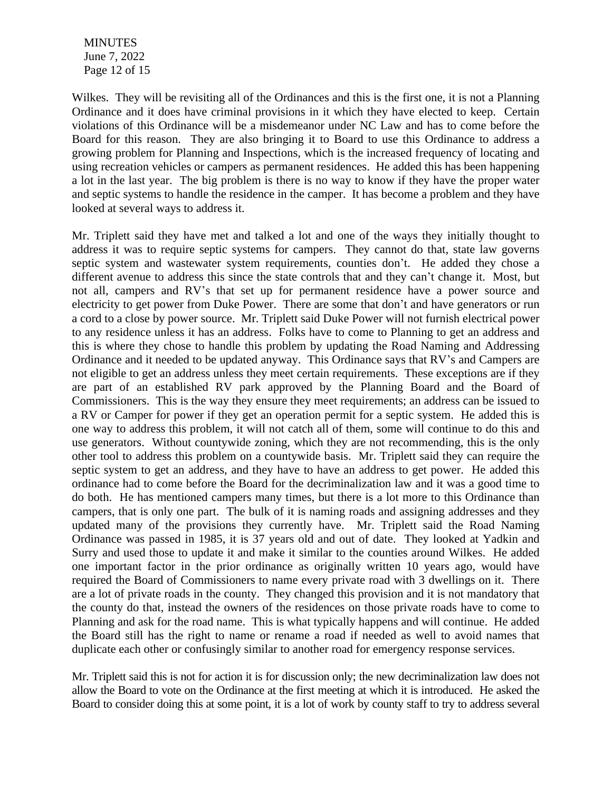MINUTES June 7, 2022 Page 12 of 15

Wilkes. They will be revisiting all of the Ordinances and this is the first one, it is not a Planning Ordinance and it does have criminal provisions in it which they have elected to keep. Certain violations of this Ordinance will be a misdemeanor under NC Law and has to come before the Board for this reason. They are also bringing it to Board to use this Ordinance to address a growing problem for Planning and Inspections, which is the increased frequency of locating and using recreation vehicles or campers as permanent residences. He added this has been happening a lot in the last year. The big problem is there is no way to know if they have the proper water and septic systems to handle the residence in the camper. It has become a problem and they have looked at several ways to address it.

Mr. Triplett said they have met and talked a lot and one of the ways they initially thought to address it was to require septic systems for campers. They cannot do that, state law governs septic system and wastewater system requirements, counties don't. He added they chose a different avenue to address this since the state controls that and they can't change it. Most, but not all, campers and RV's that set up for permanent residence have a power source and electricity to get power from Duke Power. There are some that don't and have generators or run a cord to a close by power source. Mr. Triplett said Duke Power will not furnish electrical power to any residence unless it has an address. Folks have to come to Planning to get an address and this is where they chose to handle this problem by updating the Road Naming and Addressing Ordinance and it needed to be updated anyway. This Ordinance says that RV's and Campers are not eligible to get an address unless they meet certain requirements. These exceptions are if they are part of an established RV park approved by the Planning Board and the Board of Commissioners. This is the way they ensure they meet requirements; an address can be issued to a RV or Camper for power if they get an operation permit for a septic system. He added this is one way to address this problem, it will not catch all of them, some will continue to do this and use generators. Without countywide zoning, which they are not recommending, this is the only other tool to address this problem on a countywide basis. Mr. Triplett said they can require the septic system to get an address, and they have to have an address to get power. He added this ordinance had to come before the Board for the decriminalization law and it was a good time to do both. He has mentioned campers many times, but there is a lot more to this Ordinance than campers, that is only one part. The bulk of it is naming roads and assigning addresses and they updated many of the provisions they currently have. Mr. Triplett said the Road Naming Ordinance was passed in 1985, it is 37 years old and out of date. They looked at Yadkin and Surry and used those to update it and make it similar to the counties around Wilkes. He added one important factor in the prior ordinance as originally written 10 years ago, would have required the Board of Commissioners to name every private road with 3 dwellings on it. There are a lot of private roads in the county. They changed this provision and it is not mandatory that the county do that, instead the owners of the residences on those private roads have to come to Planning and ask for the road name. This is what typically happens and will continue. He added the Board still has the right to name or rename a road if needed as well to avoid names that duplicate each other or confusingly similar to another road for emergency response services.

Mr. Triplett said this is not for action it is for discussion only; the new decriminalization law does not allow the Board to vote on the Ordinance at the first meeting at which it is introduced. He asked the Board to consider doing this at some point, it is a lot of work by county staff to try to address several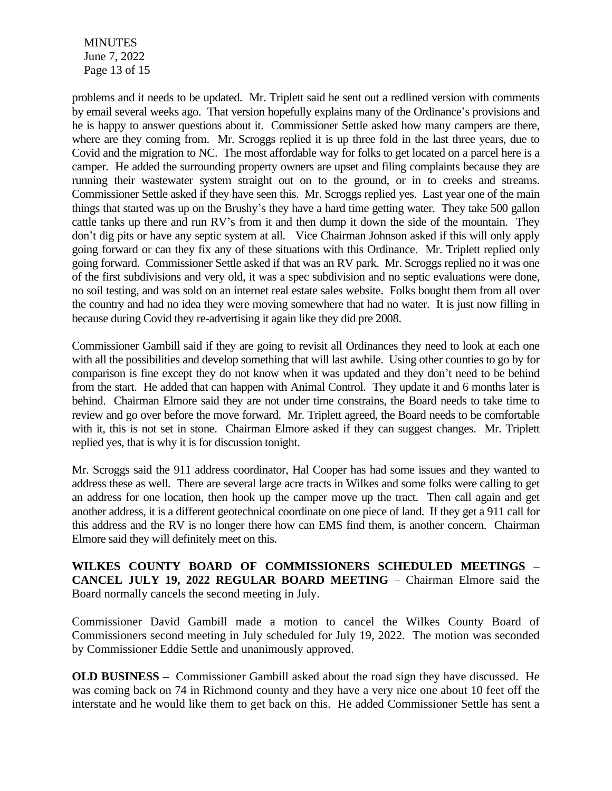MINUTES June 7, 2022 Page 13 of 15

problems and it needs to be updated. Mr. Triplett said he sent out a redlined version with comments by email several weeks ago. That version hopefully explains many of the Ordinance's provisions and he is happy to answer questions about it. Commissioner Settle asked how many campers are there, where are they coming from. Mr. Scroggs replied it is up three fold in the last three years, due to Covid and the migration to NC. The most affordable way for folks to get located on a parcel here is a camper. He added the surrounding property owners are upset and filing complaints because they are running their wastewater system straight out on to the ground, or in to creeks and streams. Commissioner Settle asked if they have seen this. Mr. Scroggs replied yes. Last year one of the main things that started was up on the Brushy's they have a hard time getting water. They take 500 gallon cattle tanks up there and run RV's from it and then dump it down the side of the mountain. They don't dig pits or have any septic system at all. Vice Chairman Johnson asked if this will only apply going forward or can they fix any of these situations with this Ordinance. Mr. Triplett replied only going forward. Commissioner Settle asked if that was an RV park. Mr. Scroggs replied no it was one of the first subdivisions and very old, it was a spec subdivision and no septic evaluations were done, no soil testing, and was sold on an internet real estate sales website. Folks bought them from all over the country and had no idea they were moving somewhere that had no water. It is just now filling in because during Covid they re-advertising it again like they did pre 2008.

Commissioner Gambill said if they are going to revisit all Ordinances they need to look at each one with all the possibilities and develop something that will last awhile. Using other counties to go by for comparison is fine except they do not know when it was updated and they don't need to be behind from the start. He added that can happen with Animal Control. They update it and 6 months later is behind. Chairman Elmore said they are not under time constrains, the Board needs to take time to review and go over before the move forward. Mr. Triplett agreed, the Board needs to be comfortable with it, this is not set in stone. Chairman Elmore asked if they can suggest changes. Mr. Triplett replied yes, that is why it is for discussion tonight.

Mr. Scroggs said the 911 address coordinator, Hal Cooper has had some issues and they wanted to address these as well. There are several large acre tracts in Wilkes and some folks were calling to get an address for one location, then hook up the camper move up the tract. Then call again and get another address, it is a different geotechnical coordinate on one piece of land. If they get a 911 call for this address and the RV is no longer there how can EMS find them, is another concern. Chairman Elmore said they will definitely meet on this.

**WILKES COUNTY BOARD OF COMMISSIONERS SCHEDULED MEETINGS – CANCEL JULY 19, 2022 REGULAR BOARD MEETING** – Chairman Elmore said the Board normally cancels the second meeting in July.

Commissioner David Gambill made a motion to cancel the Wilkes County Board of Commissioners second meeting in July scheduled for July 19, 2022. The motion was seconded by Commissioner Eddie Settle and unanimously approved.

**OLD BUSINESS –** Commissioner Gambill asked about the road sign they have discussed. He was coming back on 74 in Richmond county and they have a very nice one about 10 feet off the interstate and he would like them to get back on this. He added Commissioner Settle has sent a